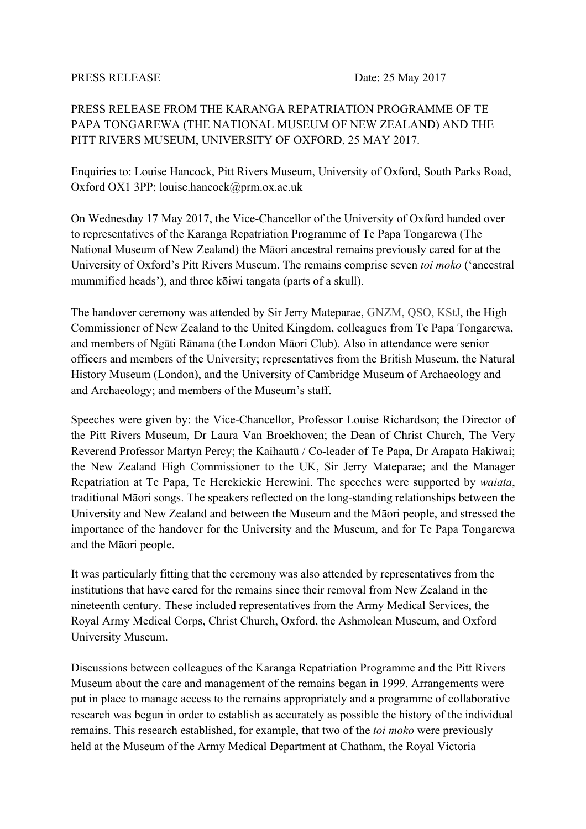PRESS RELEASE FROM THE KARANGA REPATRIATION PROGRAMME OF TE PAPA TONGAREWA (THE NATIONAL MUSEUM OF NEW ZEALAND) AND THE PITT RIVERS MUSEUM, UNIVERSITY OF OXFORD, 25 MAY 2017.

Enquiries to: Louise Hancock, Pitt Rivers Museum, University of Oxford, South Parks Road, Oxford OX1 3PP; louise.hancock@prm.ox.ac.uk

On Wednesday 17 May 2017, the Vice-Chancellor of the University of Oxford handed over to representatives of the Karanga Repatriation Programme of Te Papa Tongarewa (The National Museum of New Zealand) the Māori ancestral remains previously cared for at the University of Oxford's Pitt Rivers Museum. The remains comprise seven *toi moko* ('ancestral mummified heads'), and three kōiwi tangata (parts of a skull).

The handover ceremony was attended by Sir Jerry Mateparae, GNZM, QSO, KStJ, the High Commissioner of New Zealand to the United Kingdom, colleagues from Te Papa Tongarewa, and members of Ngāti Rānana (the London Māori Club). Also in attendance were senior officers and members of the University; representatives from the British Museum, the Natural History Museum (London), and the University of Cambridge Museum of Archaeology and and Archaeology; and members of the Museum's staff.

Speeches were given by: the Vice-Chancellor, Professor Louise Richardson; the Director of the Pitt Rivers Museum, Dr Laura Van Broekhoven; the Dean of Christ Church, The Very Reverend Professor Martyn Percy; the Kaihautū / Co-leader of Te Papa, Dr Arapata Hakiwai; the New Zealand High Commissioner to the UK, Sir Jerry Mateparae; and the Manager Repatriation at Te Papa, Te Herekiekie Herewini. The speeches were supported by *waiata*, traditional Māori songs. The speakers reflected on the long-standing relationships between the University and New Zealand and between the Museum and the Māori people, and stressed the importance of the handover for the University and the Museum, and for Te Papa Tongarewa and the Māori people.

It was particularly fitting that the ceremony was also attended by representatives from the institutions that have cared for the remains since their removal from New Zealand in the nineteenth century. These included representatives from the Army Medical Services, the Royal Army Medical Corps, Christ Church, Oxford, the Ashmolean Museum, and Oxford University Museum.

Discussions between colleagues of the Karanga Repatriation Programme and the Pitt Rivers Museum about the care and management of the remains began in 1999. Arrangements were put in place to manage access to the remains appropriately and a programme of collaborative research was begun in order to establish as accurately as possible the history of the individual remains. This research established, for example, that two of the *toi moko* were previously held at the Museum of the Army Medical Department at Chatham, the Royal Victoria